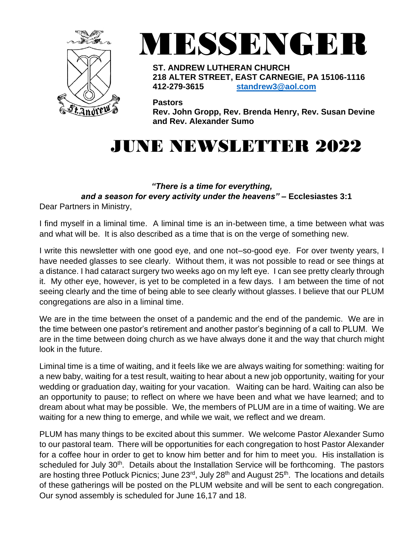



**ST. ANDREW LUTHERAN CHURCH 218 ALTER STREET, EAST CARNEGIE, PA 15106-1116 412-279-3615 [standrew3@aol.com](mailto:standrew3@aol.com)**

**Pastors**

**Rev. John Gropp, Rev. Brenda Henry, Rev. Susan Devine and Rev. Alexander Sumo**

# JUNE NEWSLETTER 2022

#### *"There is a time for everything,*

 *and a season for every activity under the heavens"* **– Ecclesiastes 3:1**

Dear Partners in Ministry,

I find myself in a liminal time. A liminal time is an in-between time, a time between what was and what will be. It is also described as a time that is on the verge of something new.

I write this newsletter with one good eye, and one not–so-good eye. For over twenty years, I have needed glasses to see clearly. Without them, it was not possible to read or see things at a distance. I had cataract surgery two weeks ago on my left eye. I can see pretty clearly through it. My other eye, however, is yet to be completed in a few days. I am between the time of not seeing clearly and the time of being able to see clearly without glasses. I believe that our PLUM congregations are also in a liminal time.

We are in the time between the onset of a pandemic and the end of the pandemic. We are in the time between one pastor's retirement and another pastor's beginning of a call to PLUM. We are in the time between doing church as we have always done it and the way that church might look in the future.

Liminal time is a time of waiting, and it feels like we are always waiting for something: waiting for a new baby, waiting for a test result, waiting to hear about a new job opportunity, waiting for your wedding or graduation day, waiting for your vacation. Waiting can be hard. Waiting can also be an opportunity to pause; to reflect on where we have been and what we have learned; and to dream about what may be possible. We, the members of PLUM are in a time of waiting. We are waiting for a new thing to emerge, and while we wait, we reflect and we dream.

PLUM has many things to be excited about this summer. We welcome Pastor Alexander Sumo to our pastoral team. There will be opportunities for each congregation to host Pastor Alexander for a coffee hour in order to get to know him better and for him to meet you. His installation is scheduled for July 30<sup>th</sup>. Details about the Installation Service will be forthcoming. The pastors are hosting three Potluck Picnics; June 23<sup>rd</sup>, July 28<sup>th</sup> and August 25<sup>th</sup>. The locations and details of these gatherings will be posted on the PLUM website and will be sent to each congregation. Our synod assembly is scheduled for June 16,17 and 18.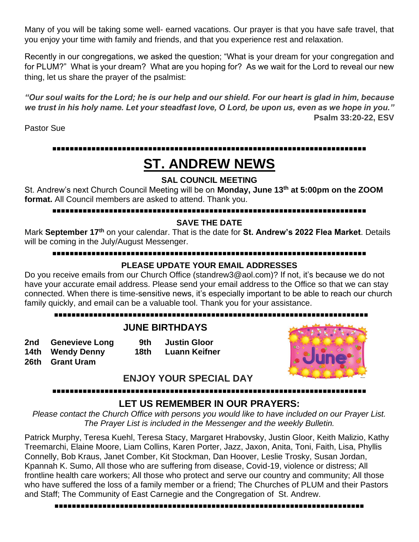Many of you will be taking some well- earned vacations. Our prayer is that you have safe travel, that you enjoy your time with family and friends, and that you experience rest and relaxation.

Recently in our congregations, we asked the question; "What is your dream for your congregation and for PLUM?" What is your dream? What are you hoping for? As we wait for the Lord to reveal our new thing, let us share the prayer of the psalmist:

*"Our soul waits for the Lord; he is our help and our shield. For our heart is glad in him, because we trust in his holy name. Let your steadfast love, O Lord, be upon us, even as we hope in you."*  **Psalm 33:20-22, ESV**

Pastor Sue

## **▪▪▪▪▪▪▪▪▪▪▪▪▪▪▪▪▪▪▪▪▪▪▪▪▪▪▪▪▪▪▪▪▪▪▪▪▪▪▪▪▪▪▪▪▪▪▪▪▪▪▪▪▪▪▪▪▪▪▪▪▪▪▪▪▪▪▪▪▪▪▪▪**

## **ST. ANDREW NEWS**

#### **SAL COUNCIL MEETING**

St. Andrew's next Church Council Meeting will be on **Monday, June 13 th at 5:00pm on the ZOOM format.** All Council members are asked to attend. Thank you.

#### **▪▪▪▪▪▪▪▪▪▪▪▪▪▪▪▪▪▪▪▪▪▪▪▪▪▪▪▪▪▪▪▪▪▪▪▪▪▪▪▪▪▪▪▪▪▪▪▪▪▪▪▪▪▪▪▪▪▪▪▪▪▪▪▪▪▪▪▪▪▪▪▪**

#### **SAVE THE DATE**

Mark **September 17th** on your calendar. That is the date for **St. Andrew's 2022 Flea Market**. Details will be coming in the July/August Messenger.

#### **▪▪▪▪▪▪▪▪▪▪▪▪▪▪▪▪▪▪▪▪▪▪▪▪▪▪▪▪▪▪▪▪▪▪▪▪▪▪▪▪▪▪▪▪▪▪▪▪▪▪▪▪▪▪▪▪▪▪▪▪▪▪▪▪▪▪▪▪▪▪▪▪**

#### **PLEASE UPDATE YOUR EMAIL ADDRESSES**

Do you receive emails from our Church Office (standrew3@aol.com)? If not, it's because we do not have your accurate email address. Please send your email address to the Office so that we can stay connected. When there is time-sensitive news, it's especially important to be able to reach our church family quickly, and email can be a valuable tool. Thank you for your assistance.

## **▪▪▪▪▪▪▪▪▪▪▪▪▪▪▪▪▪▪▪▪▪▪▪▪▪▪▪▪▪▪▪▪▪▪▪▪▪▪▪▪▪▪▪▪▪▪▪▪▪▪▪▪▪▪▪▪▪▪▪▪▪▪▪▪▪▪▪▪▪▪▪▪**

#### **JUNE BIRTHDAYS**

**2nd Genevieve Long 9th Justin Gloor 14th Wendy Denny 18th Luann Keifner 26th Grant Uram** 



**ENJOY YOUR SPECIAL DAY**

## **▪▪▪▪▪▪▪▪▪▪▪▪▪▪▪▪▪▪▪▪▪▪▪▪▪▪▪▪▪▪▪▪▪▪▪▪▪▪▪▪▪▪▪▪▪▪▪▪▪▪▪▪▪▪▪▪▪▪▪▪▪▪▪▪▪▪▪▪▪▪▪▪**

#### **LET US REMEMBER IN OUR PRAYERS:**

*Please contact the Church Office with persons you would like to have included on our Prayer List. The Prayer List is included in the Messenger and the weekly Bulletin.*

Patrick Murphy, Teresa Kuehl, Teresa Stacy, Margaret Hrabovsky, Justin Gloor, Keith Malizio, Kathy Treemarchi, Elaine Moore, Liam Collins, Karen Porter, Jazz, Jaxon, Anita, Toni, Faith, Lisa, Phyllis Connelly, Bob Kraus, Janet Comber, Kit Stockman, Dan Hoover, Leslie Trosky, Susan Jordan, Kpannah K. Sumo, All those who are suffering from disease, Covid-19, violence or distress; All frontline health care workers; All those who protect and serve our country and community; All those who have suffered the loss of a family member or a friend; The Churches of PLUM and their Pastors and Staff; The Community of East Carnegie and the Congregation of St. Andrew.

**▪▪▪▪▪▪▪▪▪▪▪▪▪▪▪▪▪▪▪▪▪▪▪▪▪▪▪▪▪▪▪▪▪▪▪▪▪▪▪▪▪▪▪▪▪▪▪▪▪▪▪▪▪▪▪▪▪▪▪▪▪▪▪▪▪▪▪▪▪▪▪**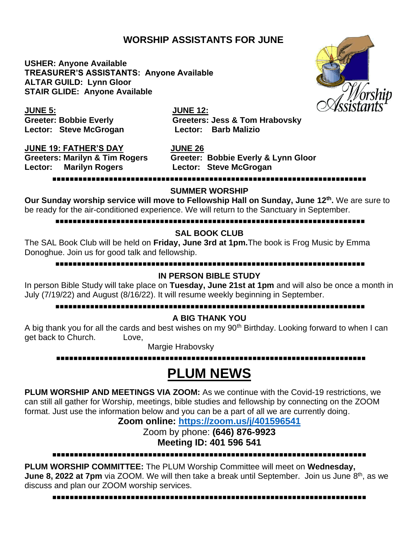### **WORSHIP ASSISTANTS FOR JUNE**

**USHER: Anyone Available TREASURER'S ASSISTANTS: Anyone Available ALTAR GUILD: Lynn Gloor STAIR GLIDE: Anyone Available**



**JUNE 5: JUNE 12: Lector: Steve McGrogan Lector: Barb Malizio**

**Greeter: Bobbie Everly Greeters: Jess & Tom Hrabovsky**

**JUNE 19: FATHER'S DAY JUNE 26**

**Lector: Marilyn Rogers** 

Greeters: Marilyn & Tim Rogers Greeter: Bobbie Everly & Lynn Gloor<br>Lector: Marilyn Rogers **Greet Lector: Steve McGrogan** 

#### **▪▪▪▪▪▪▪▪▪▪▪▪▪▪▪▪▪▪▪▪▪▪▪▪▪▪▪▪▪▪▪▪▪▪▪▪▪▪▪▪▪▪▪▪▪▪▪▪▪▪▪▪▪▪▪▪▪▪▪▪▪▪▪▪▪▪▪▪▪▪▪▪**

#### **SUMMER WORSHIP**

**Our Sunday worship service will move to Fellowship Hall on Sunday, June 12th .** We are sure to be ready for the air-conditioned experience. We will return to the Sanctuary in September.

#### **▪▪▪▪▪▪▪▪▪▪▪▪▪▪▪▪▪▪▪▪▪▪▪▪▪▪▪▪▪▪▪▪▪▪▪▪▪▪▪▪▪▪▪▪▪▪▪▪▪▪▪▪▪▪▪▪▪▪▪▪▪▪▪▪▪▪▪▪▪▪▪**

#### **SAL BOOK CLUB**

The SAL Book Club will be held on **Friday, June 3rd at 1pm.**The book is Frog Music by Emma Donoghue. Join us for good talk and fellowship.

#### **▪▪▪▪▪▪▪▪▪▪▪▪▪▪▪▪▪▪▪▪▪▪▪▪▪▪▪▪▪▪▪▪▪▪▪▪▪▪▪▪▪▪▪▪▪▪▪▪▪▪▪▪▪▪▪▪▪▪▪▪▪▪▪▪▪▪▪▪▪▪▪**

#### **IN PERSON BIBLE STUDY**

In person Bible Study will take place on **Tuesday, June 21st at 1pm** and will also be once a month in July (7/19/22) and August (8/16/22). It will resume weekly beginning in September.

#### **▪▪▪▪▪▪▪▪▪▪▪▪▪▪▪▪▪▪▪▪▪▪▪▪▪▪▪▪▪▪▪▪▪▪▪▪▪▪▪▪▪▪▪▪▪▪▪▪▪▪▪▪▪▪▪▪▪▪▪▪▪▪▪▪▪▪▪▪▪▪▪**

#### **A BIG THANK YOU**

A big thank you for all the cards and best wishes on my 90<sup>th</sup> Birthday. Looking forward to when I can get back to Church. Love,

Margie Hrabovsky

#### **▪▪▪▪▪▪▪▪▪▪▪▪▪▪▪▪▪▪▪▪▪▪▪▪▪▪▪▪▪▪▪▪▪▪▪▪▪▪▪▪▪▪▪▪▪▪▪▪▪▪▪▪▪▪▪▪▪▪▪▪▪▪▪▪▪▪▪▪▪▪▪**

## **PLUM NEWS**

**PLUM WORSHIP AND MEETINGS VIA ZOOM:** As we continue with the Covid-19 restrictions, we can still all gather for Worship, meetings, bible studies and fellowship by connecting on the ZOOM format. Just use the information below and you can be a part of all we are currently doing.

### **Zoom online: <https://zoom.us/j/401596541>**

Zoom by phone: **(646) 876-9923 Meeting ID: 401 596 541**

#### **▪▪▪▪▪▪▪▪▪▪▪▪▪▪▪▪▪▪▪▪▪▪▪▪▪▪▪▪▪▪▪▪▪▪▪▪▪▪▪▪▪▪▪▪▪▪▪▪▪▪▪▪▪▪▪▪▪▪▪▪▪▪▪▪▪▪▪▪▪▪▪▪**

**PLUM WORSHIP COMMITTEE:** The PLUM Worship Committee will meet on **Wednesday, June 8, 2022 at 7pm** via ZOOM. We will then take a break until September. Join us June 8<sup>th</sup>, as we discuss and plan our ZOOM worship services.

**▪▪▪▪▪▪▪▪▪▪▪▪▪▪▪▪▪▪▪▪▪▪▪▪▪▪▪▪▪▪▪▪▪▪▪▪▪▪▪▪▪▪▪▪▪▪▪▪▪▪▪▪▪▪▪▪▪▪▪▪▪▪▪▪▪▪▪▪▪▪▪▪**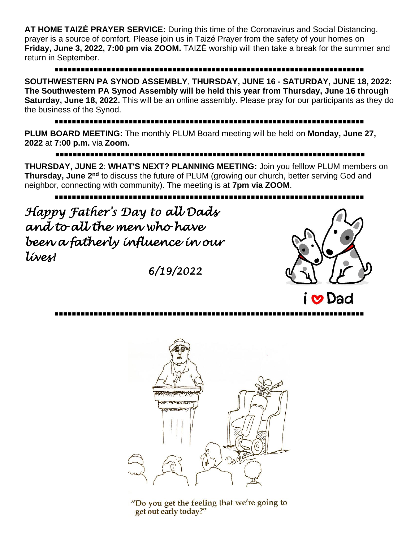**AT HOME TAIZÉ PRAYER SERVICE:** During this time of the Coronavirus and Social Distancing, prayer is a source of comfort. Please join us in Taizé Prayer from the safety of your homes on **Friday, June 3, 2022, 7:00 pm via ZOOM.** TAIZÉ worship will then take a break for the summer and return in September.

## **▪▪▪▪▪▪▪▪▪▪▪▪▪▪▪▪▪▪▪▪▪▪▪▪▪▪▪▪▪▪▪▪▪▪▪▪▪▪▪▪▪▪▪▪▪▪▪▪▪▪▪▪▪▪▪▪▪▪▪▪▪▪▪▪▪▪▪▪▪▪▪**

**SOUTHWESTERN PA SYNOD ASSEMBLY**, **THURSDAY, JUNE 16 - SATURDAY, JUNE 18, 2022: The Southwestern PA Synod Assembly will be held this year from Thursday, June 16 through Saturday, June 18, 2022.** This will be an online assembly. Please pray for our participants as they do the business of the Synod.

## **▪▪▪▪▪▪▪▪▪▪▪▪▪▪▪▪▪▪▪▪▪▪▪▪▪▪▪▪▪▪▪▪▪▪▪▪▪▪▪▪▪▪▪▪▪▪▪▪▪▪▪▪▪▪▪▪▪▪▪▪▪▪▪▪▪▪▪▪▪▪▪**

**PLUM BOARD MEETING:** The monthly PLUM Board meeting will be held on **Monday, June 27, 2022** at **7:00 p.m.** via **Zoom.**

**▪▪▪▪▪▪▪▪▪▪▪▪▪▪▪▪▪▪▪▪▪▪▪▪▪▪▪▪▪▪▪▪▪▪▪▪▪▪▪▪▪▪▪▪▪▪▪▪▪▪▪▪▪▪▪▪▪▪▪▪▪▪▪▪▪▪▪▪▪▪▪**

**THURSDAY, JUNE 2**: **WHAT'S NEXT? PLANNING MEETING:** Join you felllow PLUM members on **Thursday, June 2nd** to discuss the future of PLUM (growing our church, better serving God and neighbor, connecting with community). The meeting is at **7pm via ZOOM**.

**▪▪▪▪▪▪▪▪▪▪▪▪▪▪▪▪▪▪▪▪▪▪▪▪▪▪▪▪▪▪▪▪▪▪▪▪▪▪▪▪▪▪▪▪▪▪▪▪▪▪▪▪▪▪▪▪▪▪▪▪▪▪▪▪▪▪▪▪▪▪▪**

*Happy Father's Day to all Dads and to all the men who have been a fatherly influence in our lives!* 

*6/19/2022* 



**▪▪▪▪▪▪▪▪▪▪▪▪▪▪▪▪▪▪▪▪▪▪▪▪▪▪▪▪▪▪▪▪▪▪▪▪▪▪▪▪▪▪▪▪▪▪▪▪▪▪▪▪▪▪▪▪▪▪▪▪▪▪▪▪▪▪▪▪▪▪▪**



"Do you get the feeling that we're going to get out early today?"